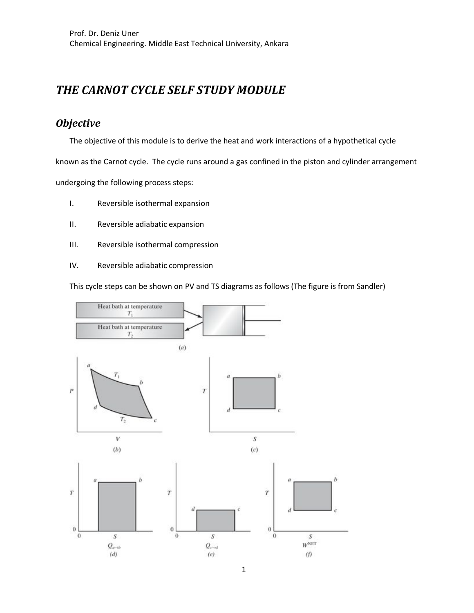# *THE CARNOT CYCLE SELF STUDY MODULE*

# *Objective*

The objective of this module is to derive the heat and work interactions of a hypothetical cycle

known as the Carnot cycle. The cycle runs around a gas confined in the piston and cylinder arrangement

undergoing the following process steps:

- I. Reversible isothermal expansion
- II. Reversible adiabatic expansion
- III. Reversible isothermal compression
- IV. Reversible adiabatic compression

This cycle steps can be shown on PV and TS diagrams as follows (The figure is from Sandler)

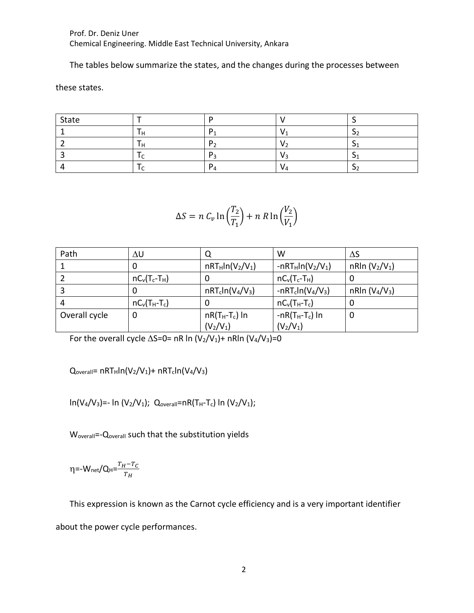Prof. Dr. Deniz Uner Chemical Engineering. Middle East Technical University, Ankara

The tables below summarize the states, and the changes during the processes between

these states.

| State |  |     |  |
|-------|--|-----|--|
|       |  |     |  |
|       |  |     |  |
|       |  |     |  |
|       |  | V 4 |  |

$$
\Delta S = n C_v \ln \left(\frac{T_2}{T_1}\right) + n R \ln \left(\frac{V_2}{V_1}\right)
$$

| Path          | ΔU              |                    | W                   | ΔS                                     |
|---------------|-----------------|--------------------|---------------------|----------------------------------------|
|               | O               | $nRT_Hln(V_2/V_1)$ | $-nRT_Hln(V_2/V_1)$ | nRIn (V <sub>2</sub> /V <sub>1</sub> ) |
|               | $nC_v(T_c-T_H)$ | U                  | $nC_v(T_c-T_H)$     | U                                      |
|               |                 | $nRT_cln(V_4/V_3)$ | $-nRT_cln(V_4/V_3)$ | nRln $(V_4/V_3)$                       |
| 4             | $nC_v(T_H-T_c)$ | 0                  | $nC_v(T_H-T_c)$     | 0                                      |
| Overall cycle | 0               | $nR(T_H-T_c)$ In   | $-nR(T_H-T_c)$ In   | 0                                      |
|               |                 | $(V_2/V_1)$        | $(V_2/V_1)$         |                                        |

For the overall cycle  $\Delta S=0= nR \ln (V_2/V_1)+nR \ln (V_4/V_3)=0$ 

 $Q_{\text{overall}} = nRT_H ln(V_2/V_1) + nRT_c ln(V_4/V_3)$ 

 $\ln(V_4/V_3)$ =-  $\ln(V_2/V_1)$ ; Q<sub>overall</sub>=nR(T<sub>H</sub>-T<sub>c</sub>)  $\ln(V_2/V_1)$ ;

W<sub>overall</sub>=-Q<sub>overall</sub> such that the substitution yields

η=-W<sub>net</sub>/Q<sub>H</sub>= $\frac{T_H-T_C}{T}$  $rac{I-I_C}{T_H}$ 

This expression is known as the Carnot cycle efficiency and is a very important identifier about the power cycle performances.